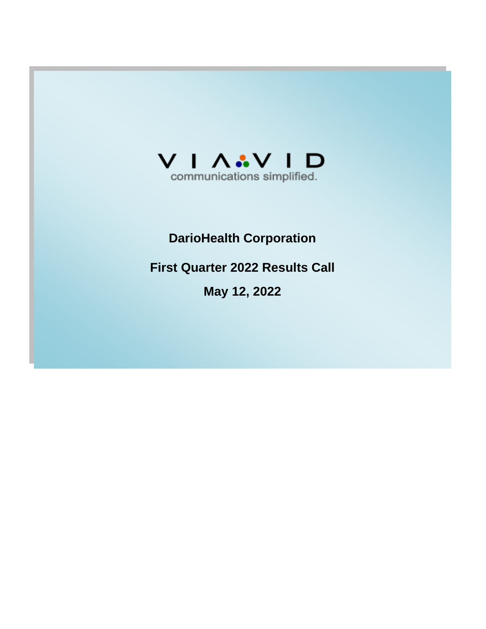

# **DarioHealth Corporation**

**First Quarter 2022 Results Call**

**May 12, 2022**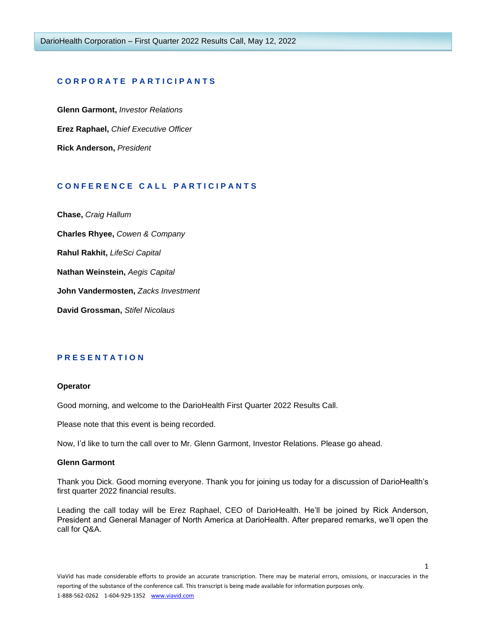## **C O R P O R A T E P A R T I C I P A N T S**

**Glenn Garmont,** *Investor Relations* **Erez Raphael,** *Chief Executive Officer* **Rick Anderson,** *President*

# **C O N F E R E N C E C A L L P A R T I C I P A N T S**

**Chase,** *Craig Hallum*

**Charles Rhyee,** *Cowen & Company*

**Rahul Rakhit,** *LifeSci Capital*

**Nathan Weinstein,** *Aegis Capital*

**John Vandermosten,** *Zacks Investment*

**David Grossman,** *Stifel Nicolaus*

# **P R E S E N T A T I O N**

## **Operator**

Good morning, and welcome to the DarioHealth First Quarter 2022 Results Call.

Please note that this event is being recorded.

Now, I'd like to turn the call over to Mr. Glenn Garmont, Investor Relations. Please go ahead.

#### **Glenn Garmont**

Thank you Dick. Good morning everyone. Thank you for joining us today for a discussion of DarioHealth's first quarter 2022 financial results.

Leading the call today will be Erez Raphael, CEO of DarioHealth. He'll be joined by Rick Anderson, President and General Manager of North America at DarioHealth. After prepared remarks, we'll open the call for Q&A.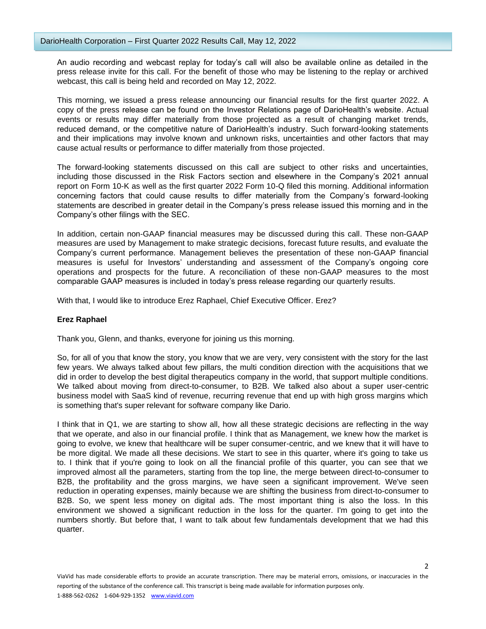An audio recording and webcast replay for today's call will also be available online as detailed in the press release invite for this call. For the benefit of those who may be listening to the replay or archived webcast, this call is being held and recorded on May 12, 2022.

This morning, we issued a press release announcing our financial results for the first quarter 2022. A copy of the press release can be found on the Investor Relations page of DarioHealth's website. Actual events or results may differ materially from those projected as a result of changing market trends, reduced demand, or the competitive nature of DarioHealth's industry. Such forward-looking statements and their implications may involve known and unknown risks, uncertainties and other factors that may cause actual results or performance to differ materially from those projected.

The forward-looking statements discussed on this call are subject to other risks and uncertainties, including those discussed in the Risk Factors section and elsewhere in the Company's 2021 annual report on Form 10-K as well as the first quarter 2022 Form 10-Q filed this morning. Additional information concerning factors that could cause results to differ materially from the Company's forward-looking statements are described in greater detail in the Company's press release issued this morning and in the Company's other filings with the SEC.

In addition, certain non-GAAP financial measures may be discussed during this call. These non-GAAP measures are used by Management to make strategic decisions, forecast future results, and evaluate the Company's current performance. Management believes the presentation of these non-GAAP financial measures is useful for Investors' understanding and assessment of the Company's ongoing core operations and prospects for the future. A reconciliation of these non-GAAP measures to the most comparable GAAP measures is included in today's press release regarding our quarterly results.

With that, I would like to introduce Erez Raphael, Chief Executive Officer. Erez?

# **Erez Raphael**

Thank you, Glenn, and thanks, everyone for joining us this morning.

So, for all of you that know the story, you know that we are very, very consistent with the story for the last few years. We always talked about few pillars, the multi condition direction with the acquisitions that we did in order to develop the best digital therapeutics company in the world, that support multiple conditions. We talked about moving from direct-to-consumer, to B2B. We talked also about a super user-centric business model with SaaS kind of revenue, recurring revenue that end up with high gross margins which is something that's super relevant for software company like Dario.

I think that in Q1, we are starting to show all, how all these strategic decisions are reflecting in the way that we operate, and also in our financial profile. I think that as Management, we knew how the market is going to evolve, we knew that healthcare will be super consumer-centric, and we knew that it will have to be more digital. We made all these decisions. We start to see in this quarter, where it's going to take us to. I think that if you're going to look on all the financial profile of this quarter, you can see that we improved almost all the parameters, starting from the top line, the merge between direct-to-consumer to B2B, the profitability and the gross margins, we have seen a significant improvement. We've seen reduction in operating expenses, mainly because we are shifting the business from direct-to-consumer to B2B. So, we spent less money on digital ads. The most important thing is also the loss. In this environment we showed a significant reduction in the loss for the quarter. I'm going to get into the numbers shortly. But before that, I want to talk about few fundamentals development that we had this quarter.

 $\overline{\phantom{a}}$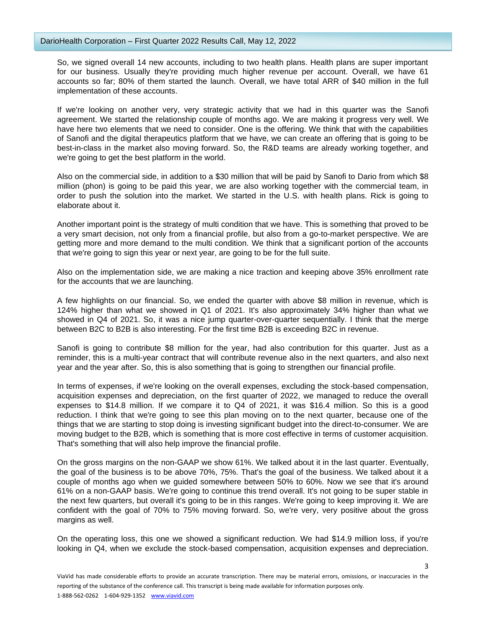So, we signed overall 14 new accounts, including to two health plans. Health plans are super important for our business. Usually they're providing much higher revenue per account. Overall, we have 61 accounts so far; 80% of them started the launch. Overall, we have total ARR of \$40 million in the full implementation of these accounts.

If we're looking on another very, very strategic activity that we had in this quarter was the Sanofi agreement. We started the relationship couple of months ago. We are making it progress very well. We have here two elements that we need to consider. One is the offering. We think that with the capabilities of Sanofi and the digital therapeutics platform that we have, we can create an offering that is going to be best-in-class in the market also moving forward. So, the R&D teams are already working together, and we're going to get the best platform in the world.

Also on the commercial side, in addition to a \$30 million that will be paid by Sanofi to Dario from which \$8 million (phon) is going to be paid this year, we are also working together with the commercial team, in order to push the solution into the market. We started in the U.S. with health plans. Rick is going to elaborate about it.

Another important point is the strategy of multi condition that we have. This is something that proved to be a very smart decision, not only from a financial profile, but also from a go-to-market perspective. We are getting more and more demand to the multi condition. We think that a significant portion of the accounts that we're going to sign this year or next year, are going to be for the full suite.

Also on the implementation side, we are making a nice traction and keeping above 35% enrollment rate for the accounts that we are launching.

A few highlights on our financial. So, we ended the quarter with above \$8 million in revenue, which is 124% higher than what we showed in Q1 of 2021. It's also approximately 34% higher than what we showed in Q4 of 2021. So, it was a nice jump quarter-over-quarter sequentially. I think that the merge between B2C to B2B is also interesting. For the first time B2B is exceeding B2C in revenue.

Sanofi is going to contribute \$8 million for the year, had also contribution for this quarter. Just as a reminder, this is a multi-year contract that will contribute revenue also in the next quarters, and also next year and the year after. So, this is also something that is going to strengthen our financial profile.

In terms of expenses, if we're looking on the overall expenses, excluding the stock-based compensation, acquisition expenses and depreciation, on the first quarter of 2022, we managed to reduce the overall expenses to \$14.8 million. If we compare it to Q4 of 2021, it was \$16.4 million. So this is a good reduction. I think that we're going to see this plan moving on to the next quarter, because one of the things that we are starting to stop doing is investing significant budget into the direct-to-consumer. We are moving budget to the B2B, which is something that is more cost effective in terms of customer acquisition. That's something that will also help improve the financial profile.

On the gross margins on the non-GAAP we show 61%. We talked about it in the last quarter. Eventually, the goal of the business is to be above 70%, 75%. That's the goal of the business. We talked about it a couple of months ago when we guided somewhere between 50% to 60%. Now we see that it's around 61% on a non-GAAP basis. We're going to continue this trend overall. It's not going to be super stable in the next few quarters, but overall it's going to be in this ranges. We're going to keep improving it. We are confident with the goal of 70% to 75% moving forward. So, we're very, very positive about the gross margins as well.

On the operating loss, this one we showed a significant reduction. We had \$14.9 million loss, if you're looking in Q4, when we exclude the stock-based compensation, acquisition expenses and depreciation.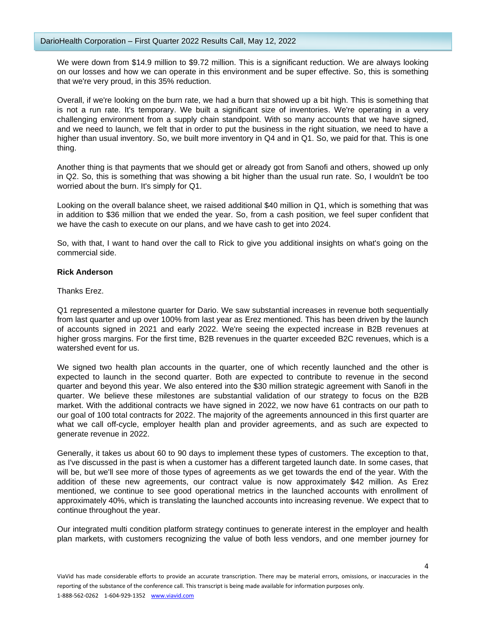We were down from \$14.9 million to \$9.72 million. This is a significant reduction. We are always looking on our losses and how we can operate in this environment and be super effective. So, this is something that we're very proud, in this 35% reduction.

Overall, if we're looking on the burn rate, we had a burn that showed up a bit high. This is something that is not a run rate. It's temporary. We built a significant size of inventories. We're operating in a very challenging environment from a supply chain standpoint. With so many accounts that we have signed, and we need to launch, we felt that in order to put the business in the right situation, we need to have a higher than usual inventory. So, we built more inventory in Q4 and in Q1. So, we paid for that. This is one thing.

Another thing is that payments that we should get or already got from Sanofi and others, showed up only in Q2. So, this is something that was showing a bit higher than the usual run rate. So, I wouldn't be too worried about the burn. It's simply for Q1.

Looking on the overall balance sheet, we raised additional \$40 million in Q1, which is something that was in addition to \$36 million that we ended the year. So, from a cash position, we feel super confident that we have the cash to execute on our plans, and we have cash to get into 2024.

So, with that, I want to hand over the call to Rick to give you additional insights on what's going on the commercial side.

# **Rick Anderson**

Thanks Erez.

Q1 represented a milestone quarter for Dario. We saw substantial increases in revenue both sequentially from last quarter and up over 100% from last year as Erez mentioned. This has been driven by the launch of accounts signed in 2021 and early 2022. We're seeing the expected increase in B2B revenues at higher gross margins. For the first time, B2B revenues in the quarter exceeded B2C revenues, which is a watershed event for us.

We signed two health plan accounts in the quarter, one of which recently launched and the other is expected to launch in the second quarter. Both are expected to contribute to revenue in the second quarter and beyond this year. We also entered into the \$30 million strategic agreement with Sanofi in the quarter. We believe these milestones are substantial validation of our strategy to focus on the B2B market. With the additional contracts we have signed in 2022, we now have 61 contracts on our path to our goal of 100 total contracts for 2022. The majority of the agreements announced in this first quarter are what we call off-cycle, employer health plan and provider agreements, and as such are expected to generate revenue in 2022.

Generally, it takes us about 60 to 90 days to implement these types of customers. The exception to that, as I've discussed in the past is when a customer has a different targeted launch date. In some cases, that will be, but we'll see more of those types of agreements as we get towards the end of the year. With the addition of these new agreements, our contract value is now approximately \$42 million. As Erez mentioned, we continue to see good operational metrics in the launched accounts with enrollment of approximately 40%, which is translating the launched accounts into increasing revenue. We expect that to continue throughout the year.

Our integrated multi condition platform strategy continues to generate interest in the employer and health plan markets, with customers recognizing the value of both less vendors, and one member journey for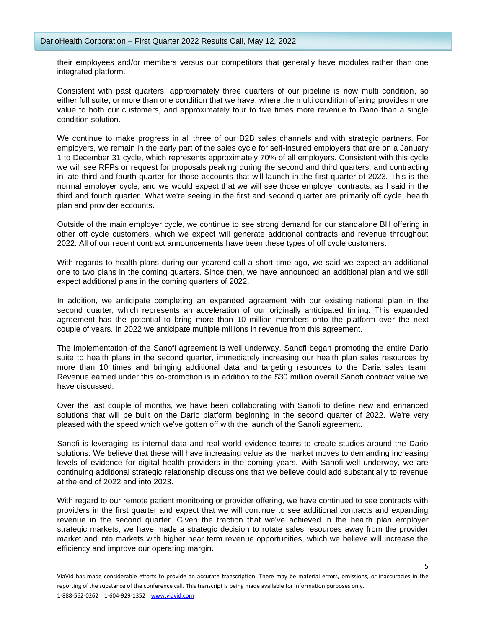their employees and/or members versus our competitors that generally have modules rather than one integrated platform.

Consistent with past quarters, approximately three quarters of our pipeline is now multi condition, so either full suite, or more than one condition that we have, where the multi condition offering provides more value to both our customers, and approximately four to five times more revenue to Dario than a single condition solution.

We continue to make progress in all three of our B2B sales channels and with strategic partners. For employers, we remain in the early part of the sales cycle for self-insured employers that are on a January 1 to December 31 cycle, which represents approximately 70% of all employers. Consistent with this cycle we will see RFPs or request for proposals peaking during the second and third quarters, and contracting in late third and fourth quarter for those accounts that will launch in the first quarter of 2023. This is the normal employer cycle, and we would expect that we will see those employer contracts, as I said in the third and fourth quarter. What we're seeing in the first and second quarter are primarily off cycle, health plan and provider accounts.

Outside of the main employer cycle, we continue to see strong demand for our standalone BH offering in other off cycle customers, which we expect will generate additional contracts and revenue throughout 2022. All of our recent contract announcements have been these types of off cycle customers.

With regards to health plans during our yearend call a short time ago, we said we expect an additional one to two plans in the coming quarters. Since then, we have announced an additional plan and we still expect additional plans in the coming quarters of 2022.

In addition, we anticipate completing an expanded agreement with our existing national plan in the second quarter, which represents an acceleration of our originally anticipated timing. This expanded agreement has the potential to bring more than 10 million members onto the platform over the next couple of years. In 2022 we anticipate multiple millions in revenue from this agreement.

The implementation of the Sanofi agreement is well underway. Sanofi began promoting the entire Dario suite to health plans in the second quarter, immediately increasing our health plan sales resources by more than 10 times and bringing additional data and targeting resources to the Daria sales team. Revenue earned under this co-promotion is in addition to the \$30 million overall Sanofi contract value we have discussed.

Over the last couple of months, we have been collaborating with Sanofi to define new and enhanced solutions that will be built on the Dario platform beginning in the second quarter of 2022. We're very pleased with the speed which we've gotten off with the launch of the Sanofi agreement.

Sanofi is leveraging its internal data and real world evidence teams to create studies around the Dario solutions. We believe that these will have increasing value as the market moves to demanding increasing levels of evidence for digital health providers in the coming years. With Sanofi well underway, we are continuing additional strategic relationship discussions that we believe could add substantially to revenue at the end of 2022 and into 2023.

With regard to our remote patient monitoring or provider offering, we have continued to see contracts with providers in the first quarter and expect that we will continue to see additional contracts and expanding revenue in the second quarter. Given the traction that we've achieved in the health plan employer strategic markets, we have made a strategic decision to rotate sales resources away from the provider market and into markets with higher near term revenue opportunities, which we believe will increase the efficiency and improve our operating margin.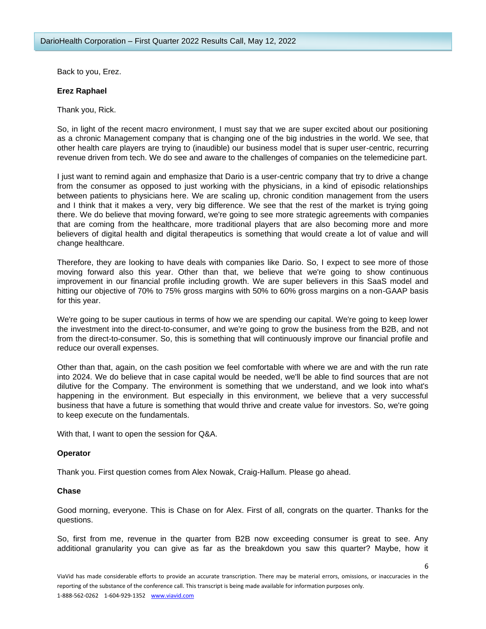Back to you, Erez.

## **Erez Raphael**

Thank you, Rick.

So, in light of the recent macro environment, I must say that we are super excited about our positioning as a chronic Management company that is changing one of the big industries in the world. We see, that other health care players are trying to (inaudible) our business model that is super user-centric, recurring revenue driven from tech. We do see and aware to the challenges of companies on the telemedicine part.

I just want to remind again and emphasize that Dario is a user-centric company that try to drive a change from the consumer as opposed to just working with the physicians, in a kind of episodic relationships between patients to physicians here. We are scaling up, chronic condition management from the users and I think that it makes a very, very big difference. We see that the rest of the market is trying going there. We do believe that moving forward, we're going to see more strategic agreements with companies that are coming from the healthcare, more traditional players that are also becoming more and more believers of digital health and digital therapeutics is something that would create a lot of value and will change healthcare.

Therefore, they are looking to have deals with companies like Dario. So, I expect to see more of those moving forward also this year. Other than that, we believe that we're going to show continuous improvement in our financial profile including growth. We are super believers in this SaaS model and hitting our objective of 70% to 75% gross margins with 50% to 60% gross margins on a non-GAAP basis for this year.

We're going to be super cautious in terms of how we are spending our capital. We're going to keep lower the investment into the direct-to-consumer, and we're going to grow the business from the B2B, and not from the direct-to-consumer. So, this is something that will continuously improve our financial profile and reduce our overall expenses.

Other than that, again, on the cash position we feel comfortable with where we are and with the run rate into 2024. We do believe that in case capital would be needed, we'll be able to find sources that are not dilutive for the Company. The environment is something that we understand, and we look into what's happening in the environment. But especially in this environment, we believe that a very successful business that have a future is something that would thrive and create value for investors. So, we're going to keep execute on the fundamentals.

With that, I want to open the session for Q&A.

# **Operator**

Thank you. First question comes from Alex Nowak, Craig-Hallum. Please go ahead.

# **Chase**

Good morning, everyone. This is Chase on for Alex. First of all, congrats on the quarter. Thanks for the questions.

So, first from me, revenue in the quarter from B2B now exceeding consumer is great to see. Any additional granularity you can give as far as the breakdown you saw this quarter? Maybe, how it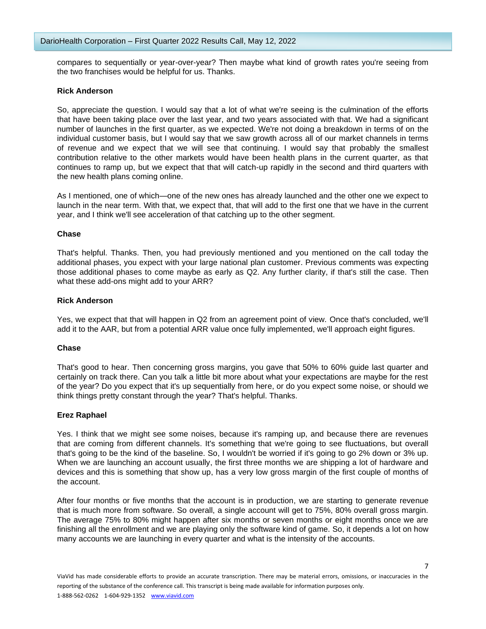compares to sequentially or year-over-year? Then maybe what kind of growth rates you're seeing from the two franchises would be helpful for us. Thanks.

## **Rick Anderson**

So, appreciate the question. I would say that a lot of what we're seeing is the culmination of the efforts that have been taking place over the last year, and two years associated with that. We had a significant number of launches in the first quarter, as we expected. We're not doing a breakdown in terms of on the individual customer basis, but I would say that we saw growth across all of our market channels in terms of revenue and we expect that we will see that continuing. I would say that probably the smallest contribution relative to the other markets would have been health plans in the current quarter, as that continues to ramp up, but we expect that that will catch-up rapidly in the second and third quarters with the new health plans coming online.

As I mentioned, one of which—one of the new ones has already launched and the other one we expect to launch in the near term. With that, we expect that, that will add to the first one that we have in the current year, and I think we'll see acceleration of that catching up to the other segment.

## **Chase**

That's helpful. Thanks. Then, you had previously mentioned and you mentioned on the call today the additional phases, you expect with your large national plan customer. Previous comments was expecting those additional phases to come maybe as early as Q2. Any further clarity, if that's still the case. Then what these add-ons might add to your ARR?

## **Rick Anderson**

Yes, we expect that that will happen in Q2 from an agreement point of view. Once that's concluded, we'll add it to the AAR, but from a potential ARR value once fully implemented, we'll approach eight figures.

# **Chase**

That's good to hear. Then concerning gross margins, you gave that 50% to 60% guide last quarter and certainly on track there. Can you talk a little bit more about what your expectations are maybe for the rest of the year? Do you expect that it's up sequentially from here, or do you expect some noise, or should we think things pretty constant through the year? That's helpful. Thanks.

# **Erez Raphael**

Yes. I think that we might see some noises, because it's ramping up, and because there are revenues that are coming from different channels. It's something that we're going to see fluctuations, but overall that's going to be the kind of the baseline. So, I wouldn't be worried if it's going to go 2% down or 3% up. When we are launching an account usually, the first three months we are shipping a lot of hardware and devices and this is something that show up, has a very low gross margin of the first couple of months of the account.

After four months or five months that the account is in production, we are starting to generate revenue that is much more from software. So overall, a single account will get to 75%, 80% overall gross margin. The average 75% to 80% might happen after six months or seven months or eight months once we are finishing all the enrollment and we are playing only the software kind of game. So, it depends a lot on how many accounts we are launching in every quarter and what is the intensity of the accounts.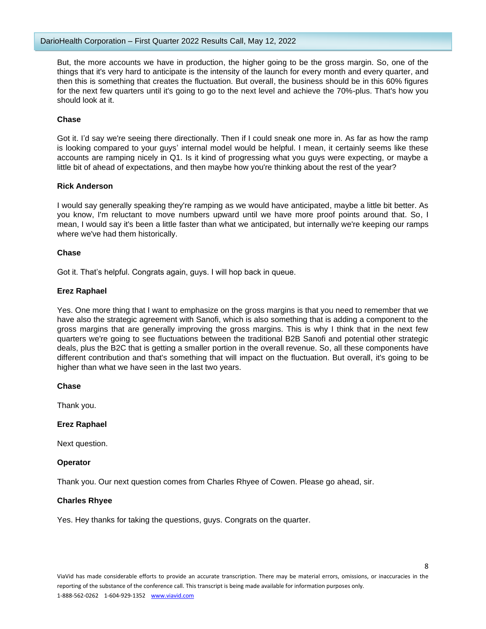But, the more accounts we have in production, the higher going to be the gross margin. So, one of the things that it's very hard to anticipate is the intensity of the launch for every month and every quarter, and then this is something that creates the fluctuation. But overall, the business should be in this 60% figures for the next few quarters until it's going to go to the next level and achieve the 70%-plus. That's how you should look at it.

## **Chase**

Got it. I'd say we're seeing there directionally. Then if I could sneak one more in. As far as how the ramp is looking compared to your guys' internal model would be helpful. I mean, it certainly seems like these accounts are ramping nicely in Q1. Is it kind of progressing what you guys were expecting, or maybe a little bit of ahead of expectations, and then maybe how you're thinking about the rest of the year?

## **Rick Anderson**

I would say generally speaking they're ramping as we would have anticipated, maybe a little bit better. As you know, I'm reluctant to move numbers upward until we have more proof points around that. So, I mean, I would say it's been a little faster than what we anticipated, but internally we're keeping our ramps where we've had them historically.

## **Chase**

Got it. That's helpful. Congrats again, guys. I will hop back in queue.

## **Erez Raphael**

Yes. One more thing that I want to emphasize on the gross margins is that you need to remember that we have also the strategic agreement with Sanofi, which is also something that is adding a component to the gross margins that are generally improving the gross margins. This is why I think that in the next few quarters we're going to see fluctuations between the traditional B2B Sanofi and potential other strategic deals, plus the B2C that is getting a smaller portion in the overall revenue. So, all these components have different contribution and that's something that will impact on the fluctuation. But overall, it's going to be higher than what we have seen in the last two years.

**Chase**

Thank you.

# **Erez Raphael**

Next question.

# **Operator**

Thank you. Our next question comes from Charles Rhyee of Cowen. Please go ahead, sir.

# **Charles Rhyee**

Yes. Hey thanks for taking the questions, guys. Congrats on the quarter.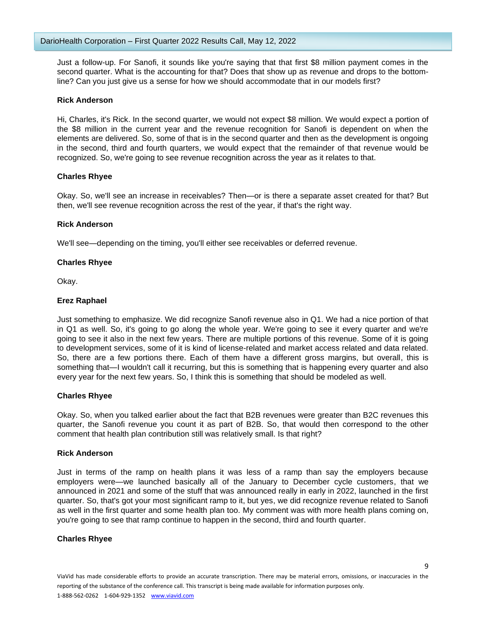Just a follow-up. For Sanofi, it sounds like you're saying that that first \$8 million payment comes in the second quarter. What is the accounting for that? Does that show up as revenue and drops to the bottomline? Can you just give us a sense for how we should accommodate that in our models first?

## **Rick Anderson**

Hi, Charles, it's Rick. In the second quarter, we would not expect \$8 million. We would expect a portion of the \$8 million in the current year and the revenue recognition for Sanofi is dependent on when the elements are delivered. So, some of that is in the second quarter and then as the development is ongoing in the second, third and fourth quarters, we would expect that the remainder of that revenue would be recognized. So, we're going to see revenue recognition across the year as it relates to that.

## **Charles Rhyee**

Okay. So, we'll see an increase in receivables? Then—or is there a separate asset created for that? But then, we'll see revenue recognition across the rest of the year, if that's the right way.

## **Rick Anderson**

We'll see—depending on the timing, you'll either see receivables or deferred revenue.

## **Charles Rhyee**

Okay.

## **Erez Raphael**

Just something to emphasize. We did recognize Sanofi revenue also in Q1. We had a nice portion of that in Q1 as well. So, it's going to go along the whole year. We're going to see it every quarter and we're going to see it also in the next few years. There are multiple portions of this revenue. Some of it is going to development services, some of it is kind of license-related and market access related and data related. So, there are a few portions there. Each of them have a different gross margins, but overall, this is something that—I wouldn't call it recurring, but this is something that is happening every quarter and also every year for the next few years. So, I think this is something that should be modeled as well.

# **Charles Rhyee**

Okay. So, when you talked earlier about the fact that B2B revenues were greater than B2C revenues this quarter, the Sanofi revenue you count it as part of B2B. So, that would then correspond to the other comment that health plan contribution still was relatively small. Is that right?

#### **Rick Anderson**

Just in terms of the ramp on health plans it was less of a ramp than say the employers because employers were—we launched basically all of the January to December cycle customers, that we announced in 2021 and some of the stuff that was announced really in early in 2022, launched in the first quarter. So, that's got your most significant ramp to it, but yes, we did recognize revenue related to Sanofi as well in the first quarter and some health plan too. My comment was with more health plans coming on, you're going to see that ramp continue to happen in the second, third and fourth quarter.

# **Charles Rhyee**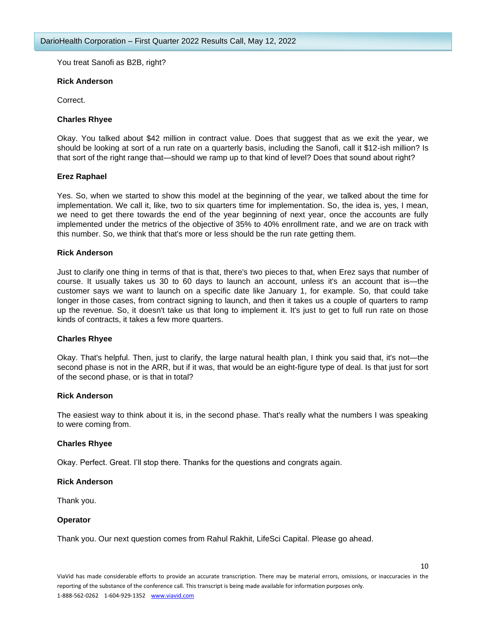You treat Sanofi as B2B, right?

## **Rick Anderson**

Correct.

## **Charles Rhyee**

Okay. You talked about \$42 million in contract value. Does that suggest that as we exit the year, we should be looking at sort of a run rate on a quarterly basis, including the Sanofi, call it \$12-ish million? Is that sort of the right range that—should we ramp up to that kind of level? Does that sound about right?

# **Erez Raphael**

Yes. So, when we started to show this model at the beginning of the year, we talked about the time for implementation. We call it, like, two to six quarters time for implementation. So, the idea is, yes, I mean, we need to get there towards the end of the year beginning of next year, once the accounts are fully implemented under the metrics of the objective of 35% to 40% enrollment rate, and we are on track with this number. So, we think that that's more or less should be the run rate getting them.

## **Rick Anderson**

Just to clarify one thing in terms of that is that, there's two pieces to that, when Erez says that number of course. It usually takes us 30 to 60 days to launch an account, unless it's an account that is—the customer says we want to launch on a specific date like January 1, for example. So, that could take longer in those cases, from contract signing to launch, and then it takes us a couple of quarters to ramp up the revenue. So, it doesn't take us that long to implement it. It's just to get to full run rate on those kinds of contracts, it takes a few more quarters.

# **Charles Rhyee**

Okay. That's helpful. Then, just to clarify, the large natural health plan, I think you said that, it's not—the second phase is not in the ARR, but if it was, that would be an eight-figure type of deal. Is that just for sort of the second phase, or is that in total?

#### **Rick Anderson**

The easiest way to think about it is, in the second phase. That's really what the numbers I was speaking to were coming from.

# **Charles Rhyee**

Okay. Perfect. Great. I'll stop there. Thanks for the questions and congrats again.

#### **Rick Anderson**

Thank you.

# **Operator**

Thank you. Our next question comes from Rahul Rakhit, LifeSci Capital. Please go ahead.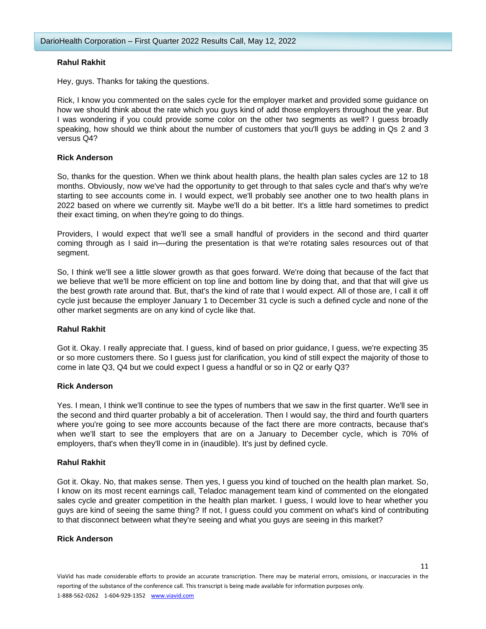# **Rahul Rakhit**

Hey, guys. Thanks for taking the questions.

Rick, I know you commented on the sales cycle for the employer market and provided some guidance on how we should think about the rate which you guys kind of add those employers throughout the year. But I was wondering if you could provide some color on the other two segments as well? I guess broadly speaking, how should we think about the number of customers that you'll guys be adding in Qs 2 and 3 versus Q4?

## **Rick Anderson**

So, thanks for the question. When we think about health plans, the health plan sales cycles are 12 to 18 months. Obviously, now we've had the opportunity to get through to that sales cycle and that's why we're starting to see accounts come in. I would expect, we'll probably see another one to two health plans in 2022 based on where we currently sit. Maybe we'll do a bit better. It's a little hard sometimes to predict their exact timing, on when they're going to do things.

Providers, I would expect that we'll see a small handful of providers in the second and third quarter coming through as I said in—during the presentation is that we're rotating sales resources out of that segment.

So, I think we'll see a little slower growth as that goes forward. We're doing that because of the fact that we believe that we'll be more efficient on top line and bottom line by doing that, and that that will give us the best growth rate around that. But, that's the kind of rate that I would expect. All of those are, I call it off cycle just because the employer January 1 to December 31 cycle is such a defined cycle and none of the other market segments are on any kind of cycle like that.

#### **Rahul Rakhit**

Got it. Okay. I really appreciate that. I guess, kind of based on prior guidance, I guess, we're expecting 35 or so more customers there. So I guess just for clarification, you kind of still expect the majority of those to come in late Q3, Q4 but we could expect I guess a handful or so in Q2 or early Q3?

## **Rick Anderson**

Yes. I mean, I think we'll continue to see the types of numbers that we saw in the first quarter. We'll see in the second and third quarter probably a bit of acceleration. Then I would say, the third and fourth quarters where you're going to see more accounts because of the fact there are more contracts, because that's when we'll start to see the employers that are on a January to December cycle, which is 70% of employers, that's when they'll come in in (inaudible). It's just by defined cycle.

#### **Rahul Rakhit**

Got it. Okay. No, that makes sense. Then yes, I guess you kind of touched on the health plan market. So, I know on its most recent earnings call, Teladoc management team kind of commented on the elongated sales cycle and greater competition in the health plan market. I guess, I would love to hear whether you guys are kind of seeing the same thing? If not, I guess could you comment on what's kind of contributing to that disconnect between what they're seeing and what you guys are seeing in this market?

#### **Rick Anderson**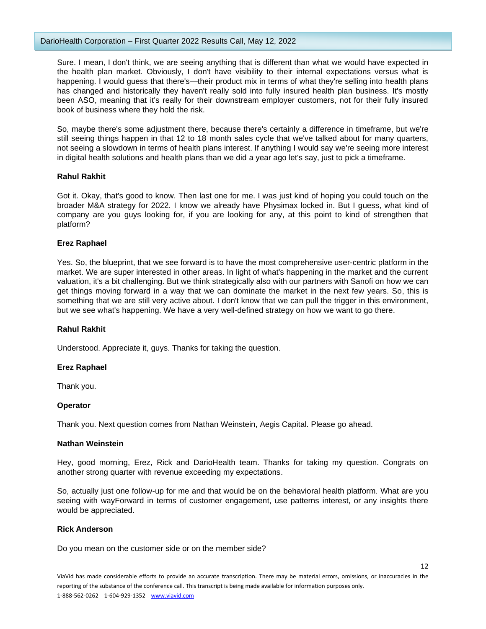## DarioHealth Corporation – First Quarter 2022 Results Call, May 12, 2022

Sure. I mean, I don't think, we are seeing anything that is different than what we would have expected in the health plan market. Obviously, I don't have visibility to their internal expectations versus what is happening. I would guess that there's—their product mix in terms of what they're selling into health plans has changed and historically they haven't really sold into fully insured health plan business. It's mostly been ASO, meaning that it's really for their downstream employer customers, not for their fully insured book of business where they hold the risk.

So, maybe there's some adjustment there, because there's certainly a difference in timeframe, but we're still seeing things happen in that 12 to 18 month sales cycle that we've talked about for many quarters, not seeing a slowdown in terms of health plans interest. If anything I would say we're seeing more interest in digital health solutions and health plans than we did a year ago let's say, just to pick a timeframe.

# **Rahul Rakhit**

Got it. Okay, that's good to know. Then last one for me. I was just kind of hoping you could touch on the broader M&A strategy for 2022. I know we already have Physimax locked in. But I guess, what kind of company are you guys looking for, if you are looking for any, at this point to kind of strengthen that platform?

# **Erez Raphael**

Yes. So, the blueprint, that we see forward is to have the most comprehensive user-centric platform in the market. We are super interested in other areas. In light of what's happening in the market and the current valuation, it's a bit challenging. But we think strategically also with our partners with Sanofi on how we can get things moving forward in a way that we can dominate the market in the next few years. So, this is something that we are still very active about. I don't know that we can pull the trigger in this environment, but we see what's happening. We have a very well-defined strategy on how we want to go there.

# **Rahul Rakhit**

Understood. Appreciate it, guys. Thanks for taking the question.

# **Erez Raphael**

Thank you.

# **Operator**

Thank you. Next question comes from Nathan Weinstein, Aegis Capital. Please go ahead.

# **Nathan Weinstein**

Hey, good morning, Erez, Rick and DarioHealth team. Thanks for taking my question. Congrats on another strong quarter with revenue exceeding my expectations.

So, actually just one follow-up for me and that would be on the behavioral health platform. What are you seeing with wayForward in terms of customer engagement, use patterns interest, or any insights there would be appreciated.

#### **Rick Anderson**

Do you mean on the customer side or on the member side?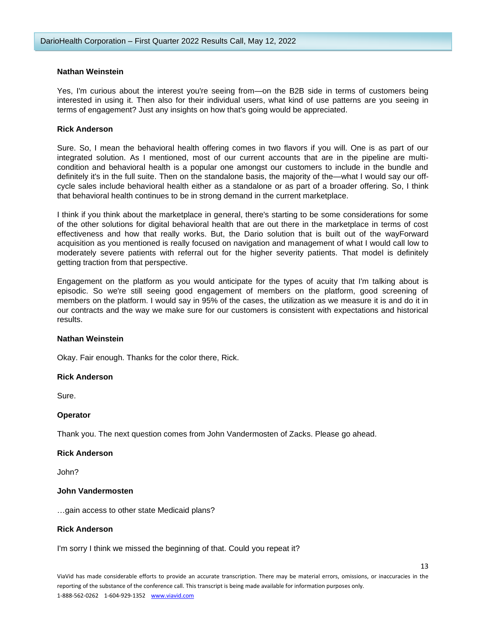## **Nathan Weinstein**

Yes, I'm curious about the interest you're seeing from—on the B2B side in terms of customers being interested in using it. Then also for their individual users, what kind of use patterns are you seeing in terms of engagement? Just any insights on how that's going would be appreciated.

## **Rick Anderson**

Sure. So, I mean the behavioral health offering comes in two flavors if you will. One is as part of our integrated solution. As I mentioned, most of our current accounts that are in the pipeline are multicondition and behavioral health is a popular one amongst our customers to include in the bundle and definitely it's in the full suite. Then on the standalone basis, the majority of the—what I would say our offcycle sales include behavioral health either as a standalone or as part of a broader offering. So, I think that behavioral health continues to be in strong demand in the current marketplace.

I think if you think about the marketplace in general, there's starting to be some considerations for some of the other solutions for digital behavioral health that are out there in the marketplace in terms of cost effectiveness and how that really works. But, the Dario solution that is built out of the wayForward acquisition as you mentioned is really focused on navigation and management of what I would call low to moderately severe patients with referral out for the higher severity patients. That model is definitely getting traction from that perspective.

Engagement on the platform as you would anticipate for the types of acuity that I'm talking about is episodic. So we're still seeing good engagement of members on the platform, good screening of members on the platform. I would say in 95% of the cases, the utilization as we measure it is and do it in our contracts and the way we make sure for our customers is consistent with expectations and historical results.

#### **Nathan Weinstein**

Okay. Fair enough. Thanks for the color there, Rick.

# **Rick Anderson**

Sure.

#### **Operator**

Thank you. The next question comes from John Vandermosten of Zacks. Please go ahead.

#### **Rick Anderson**

John?

#### **John Vandermosten**

…gain access to other state Medicaid plans?

#### **Rick Anderson**

I'm sorry I think we missed the beginning of that. Could you repeat it?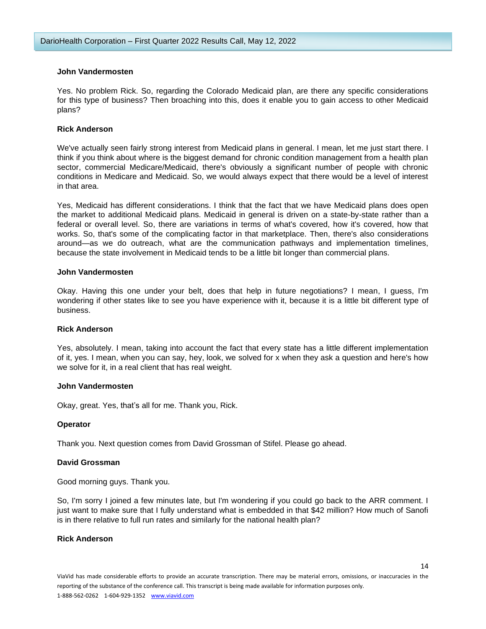## **John Vandermosten**

Yes. No problem Rick. So, regarding the Colorado Medicaid plan, are there any specific considerations for this type of business? Then broaching into this, does it enable you to gain access to other Medicaid plans?

## **Rick Anderson**

We've actually seen fairly strong interest from Medicaid plans in general. I mean, let me just start there. I think if you think about where is the biggest demand for chronic condition management from a health plan sector, commercial Medicare/Medicaid, there's obviously a significant number of people with chronic conditions in Medicare and Medicaid. So, we would always expect that there would be a level of interest in that area.

Yes, Medicaid has different considerations. I think that the fact that we have Medicaid plans does open the market to additional Medicaid plans. Medicaid in general is driven on a state-by-state rather than a federal or overall level. So, there are variations in terms of what's covered, how it's covered, how that works. So, that's some of the complicating factor in that marketplace. Then, there's also considerations around—as we do outreach, what are the communication pathways and implementation timelines, because the state involvement in Medicaid tends to be a little bit longer than commercial plans.

#### **John Vandermosten**

Okay. Having this one under your belt, does that help in future negotiations? I mean, I guess, I'm wondering if other states like to see you have experience with it, because it is a little bit different type of business.

#### **Rick Anderson**

Yes, absolutely. I mean, taking into account the fact that every state has a little different implementation of it, yes. I mean, when you can say, hey, look, we solved for x when they ask a question and here's how we solve for it, in a real client that has real weight.

## **John Vandermosten**

Okay, great. Yes, that's all for me. Thank you, Rick.

# **Operator**

Thank you. Next question comes from David Grossman of Stifel. Please go ahead.

#### **David Grossman**

Good morning guys. Thank you.

So, I'm sorry I joined a few minutes late, but I'm wondering if you could go back to the ARR comment. I just want to make sure that I fully understand what is embedded in that \$42 million? How much of Sanofi is in there relative to full run rates and similarly for the national health plan?

#### **Rick Anderson**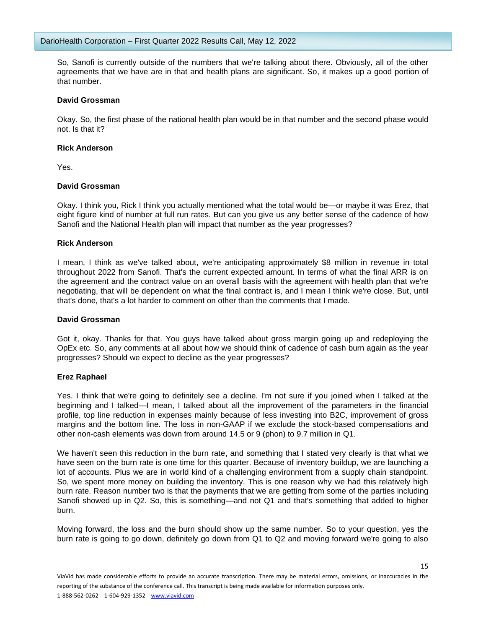So, Sanofi is currently outside of the numbers that we're talking about there. Obviously, all of the other agreements that we have are in that and health plans are significant. So, it makes up a good portion of that number.

## **David Grossman**

Okay. So, the first phase of the national health plan would be in that number and the second phase would not. Is that it?

## **Rick Anderson**

Yes.

# **David Grossman**

Okay. I think you, Rick I think you actually mentioned what the total would be—or maybe it was Erez, that eight figure kind of number at full run rates. But can you give us any better sense of the cadence of how Sanofi and the National Health plan will impact that number as the year progresses?

## **Rick Anderson**

I mean, I think as we've talked about, we're anticipating approximately \$8 million in revenue in total throughout 2022 from Sanofi. That's the current expected amount. In terms of what the final ARR is on the agreement and the contract value on an overall basis with the agreement with health plan that we're negotiating, that will be dependent on what the final contract is, and I mean I think we're close. But, until that's done, that's a lot harder to comment on other than the comments that I made.

#### **David Grossman**

Got it, okay. Thanks for that. You guys have talked about gross margin going up and redeploying the OpEx etc. So, any comments at all about how we should think of cadence of cash burn again as the year progresses? Should we expect to decline as the year progresses?

# **Erez Raphael**

Yes. I think that we're going to definitely see a decline. I'm not sure if you joined when I talked at the beginning and I talked—I mean, I talked about all the improvement of the parameters in the financial profile, top line reduction in expenses mainly because of less investing into B2C, improvement of gross margins and the bottom line. The loss in non-GAAP if we exclude the stock-based compensations and other non-cash elements was down from around 14.5 or 9 (phon) to 9.7 million in Q1.

We haven't seen this reduction in the burn rate, and something that I stated very clearly is that what we have seen on the burn rate is one time for this quarter. Because of inventory buildup, we are launching a lot of accounts. Plus we are in world kind of a challenging environment from a supply chain standpoint. So, we spent more money on building the inventory. This is one reason why we had this relatively high burn rate. Reason number two is that the payments that we are getting from some of the parties including Sanofi showed up in Q2. So, this is something—and not Q1 and that's something that added to higher burn.

Moving forward, the loss and the burn should show up the same number. So to your question, yes the burn rate is going to go down, definitely go down from Q1 to Q2 and moving forward we're going to also